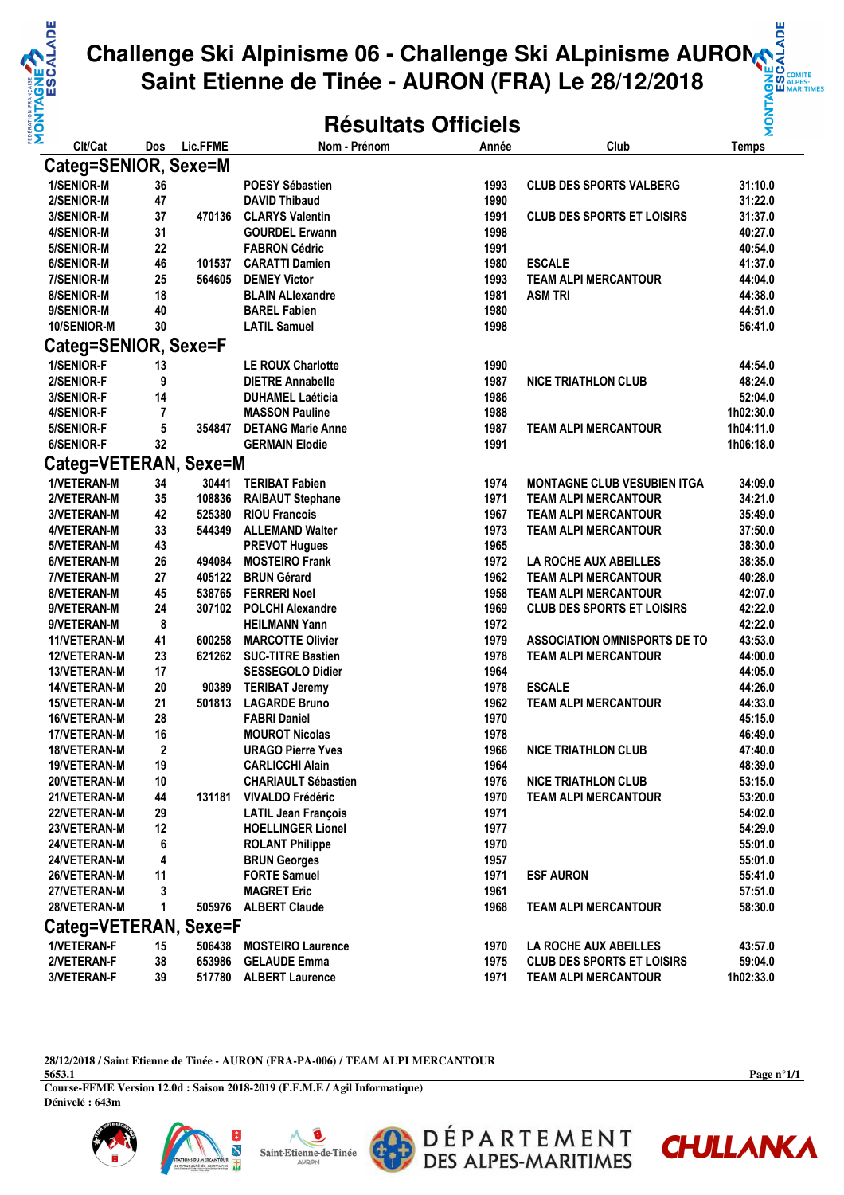

## **Challenge Ski Alpinisme 06 - Challenge Ski ALpinisme AURON Saint Etienne de Tinée - AURON (FRA) Le 28/12/2018**

## **Résultats Officiels**

| Clt/Cat               | Dos | Lic.FFME | Nom - Prénom               | Année | Club                                | <b>Temps</b> |  |  |  |  |  |
|-----------------------|-----|----------|----------------------------|-------|-------------------------------------|--------------|--|--|--|--|--|
| Categ=SENIOR, Sexe=M  |     |          |                            |       |                                     |              |  |  |  |  |  |
| <b>1/SENIOR-M</b>     | 36  |          | <b>POESY Sébastien</b>     | 1993  | <b>CLUB DES SPORTS VALBERG</b>      | 31:10.0      |  |  |  |  |  |
| 2/SENIOR-M            | 47  |          | <b>DAVID Thibaud</b>       | 1990  |                                     | 31:22.0      |  |  |  |  |  |
| 3/SENIOR-M            | 37  | 470136   | <b>CLARYS Valentin</b>     | 1991  | <b>CLUB DES SPORTS ET LOISIRS</b>   | 31:37.0      |  |  |  |  |  |
| 4/SENIOR-M            | 31  |          | <b>GOURDEL Erwann</b>      | 1998  |                                     | 40:27.0      |  |  |  |  |  |
| 5/SENIOR-M            | 22  |          | <b>FABRON Cédric</b>       | 1991  |                                     | 40:54.0      |  |  |  |  |  |
| 6/SENIOR-M            | 46  | 101537   | <b>CARATTI Damien</b>      | 1980  | <b>ESCALE</b>                       | 41:37.0      |  |  |  |  |  |
| 7/SENIOR-M            | 25  | 564605   | <b>DEMEY Victor</b>        | 1993  | <b>TEAM ALPI MERCANTOUR</b>         | 44:04.0      |  |  |  |  |  |
| 8/SENIOR-M            | 18  |          | <b>BLAIN ALIexandre</b>    | 1981  | <b>ASM TRI</b>                      | 44:38.0      |  |  |  |  |  |
| 9/SENIOR-M            | 40  |          | <b>BAREL Fabien</b>        | 1980  |                                     | 44:51.0      |  |  |  |  |  |
| 10/SENIOR-M           | 30  |          | <b>LATIL Samuel</b>        | 1998  |                                     | 56:41.0      |  |  |  |  |  |
|                       |     |          |                            |       |                                     |              |  |  |  |  |  |
| Categ=SENIOR, Sexe=F  |     |          |                            |       |                                     |              |  |  |  |  |  |
| 1/SENIOR-F            | 13  |          | <b>LE ROUX Charlotte</b>   | 1990  |                                     | 44:54.0      |  |  |  |  |  |
| 2/SENIOR-F            | 9   |          | <b>DIETRE Annabelle</b>    | 1987  | <b>NICE TRIATHLON CLUB</b>          | 48:24.0      |  |  |  |  |  |
| 3/SENIOR-F            | 14  |          | <b>DUHAMEL Laéticia</b>    | 1986  |                                     | 52:04.0      |  |  |  |  |  |
| <b>4/SENIOR-F</b>     | 7   |          | <b>MASSON Pauline</b>      | 1988  |                                     | 1h02:30.0    |  |  |  |  |  |
| 5/SENIOR-F            | 5   | 354847   | <b>DETANG Marie Anne</b>   | 1987  | <b>TEAM ALPI MERCANTOUR</b>         | 1h04:11.0    |  |  |  |  |  |
| 6/SENIOR-F            | 32  |          | <b>GERMAIN Elodie</b>      | 1991  |                                     | 1h06:18.0    |  |  |  |  |  |
| Categ=VETERAN, Sexe=M |     |          |                            |       |                                     |              |  |  |  |  |  |
| 1/VETERAN-M           | 34  | 30441    | <b>TERIBAT Fabien</b>      | 1974  | <b>MONTAGNE CLUB VESUBIEN ITGA</b>  | 34:09.0      |  |  |  |  |  |
| 2/VETERAN-M           | 35  | 108836   | <b>RAIBAUT Stephane</b>    | 1971  | <b>TEAM ALPI MERCANTOUR</b>         | 34:21.0      |  |  |  |  |  |
| 3/VETERAN-M           | 42  | 525380   | <b>RIOU Francois</b>       | 1967  | <b>TEAM ALPI MERCANTOUR</b>         | 35:49.0      |  |  |  |  |  |
| 4/VETERAN-M           | 33  | 544349   | <b>ALLEMAND Walter</b>     | 1973  | <b>TEAM ALPI MERCANTOUR</b>         | 37:50.0      |  |  |  |  |  |
| 5/VETERAN-M           | 43  |          | <b>PREVOT Hugues</b>       | 1965  |                                     | 38:30.0      |  |  |  |  |  |
| 6/VETERAN-M           | 26  | 494084   | <b>MOSTEIRO Frank</b>      | 1972  | LA ROCHE AUX ABEILLES               | 38:35.0      |  |  |  |  |  |
| 7/VETERAN-M           | 27  | 405122   | <b>BRUN Gérard</b>         | 1962  | <b>TEAM ALPI MERCANTOUR</b>         | 40:28.0      |  |  |  |  |  |
| 8/VETERAN-M           | 45  | 538765   | <b>FERRERI Noel</b>        | 1958  | <b>TEAM ALPI MERCANTOUR</b>         | 42:07.0      |  |  |  |  |  |
| 9/VETERAN-M           | 24  | 307102   | <b>POLCHI Alexandre</b>    | 1969  | <b>CLUB DES SPORTS ET LOISIRS</b>   | 42:22.0      |  |  |  |  |  |
| 9/VETERAN-M           | 8   |          | <b>HEILMANN Yann</b>       | 1972  |                                     | 42:22.0      |  |  |  |  |  |
| 11/VETERAN-M          | 41  | 600258   | <b>MARCOTTE Olivier</b>    | 1979  | <b>ASSOCIATION OMNISPORTS DE TO</b> | 43:53.0      |  |  |  |  |  |
| 12/VETERAN-M          | 23  | 621262   | <b>SUC-TITRE Bastien</b>   | 1978  | <b>TEAM ALPI MERCANTOUR</b>         | 44:00.0      |  |  |  |  |  |
| 13/VETERAN-M          | 17  |          | <b>SESSEGOLO Didier</b>    | 1964  |                                     | 44:05.0      |  |  |  |  |  |
| 14/VETERAN-M          | 20  | 90389    | <b>TERIBAT Jeremy</b>      | 1978  | <b>ESCALE</b>                       | 44:26.0      |  |  |  |  |  |
| <b>15/VETERAN-M</b>   | 21  | 501813   | <b>LAGARDE Bruno</b>       | 1962  | <b>TEAM ALPI MERCANTOUR</b>         | 44:33.0      |  |  |  |  |  |
| 16/VETERAN-M          | 28  |          | <b>FABRI Daniel</b>        | 1970  |                                     | 45:15.0      |  |  |  |  |  |
| 17/VETERAN-M          | 16  |          | <b>MOUROT Nicolas</b>      | 1978  |                                     | 46:49.0      |  |  |  |  |  |
| 18/VETERAN-M          | 2   |          | <b>URAGO Pierre Yves</b>   | 1966  | <b>NICE TRIATHLON CLUB</b>          | 47:40.0      |  |  |  |  |  |
| 19/VETERAN-M          | 19  |          | <b>CARLICCHI Alain</b>     | 1964  |                                     | 48:39.0      |  |  |  |  |  |
| 20/VETERAN-M          | 10  |          | <b>CHARIAULT Sébastien</b> | 1976  | <b>NICE TRIATHLON CLUB</b>          | 53:15.0      |  |  |  |  |  |
| 21/VETERAN-M          | 44  | 131181   | <b>VIVALDO Frédéric</b>    | 1970  | <b>TEAM ALPI MERCANTOUR</b>         | 53:20.0      |  |  |  |  |  |
| 22/VETERAN-M          | 29  |          | <b>LATIL Jean François</b> | 1971  |                                     | 54:02.0      |  |  |  |  |  |
| 23/VETERAN-M          | 12  |          | <b>HOELLINGER Lionel</b>   | 1977  |                                     | 54:29.0      |  |  |  |  |  |
| 24/VETERAN-M          | 6   |          | <b>ROLANT Philippe</b>     | 1970  |                                     |              |  |  |  |  |  |
|                       |     |          |                            |       |                                     | 55:01.0      |  |  |  |  |  |
| 24/VETERAN-M          | 4   |          | <b>BRUN Georges</b>        | 1957  |                                     | 55:01.0      |  |  |  |  |  |
| 26/VETERAN-M          | 11  |          | <b>FORTE Samuel</b>        | 1971  | <b>ESF AURON</b>                    | 55:41.0      |  |  |  |  |  |
| 27/VETERAN-M          | 3   |          | <b>MAGRET Eric</b>         | 1961  |                                     | 57:51.0      |  |  |  |  |  |
| 28/VETERAN-M          | 1   |          | 505976 ALBERT Claude       | 1968  | <b>TEAM ALPI MERCANTOUR</b>         | 58:30.0      |  |  |  |  |  |
| Categ=VETERAN, Sexe=F |     |          |                            |       |                                     |              |  |  |  |  |  |
| 1/VETERAN-F           | 15  |          | 506438 MOSTEIRO Laurence   | 1970  | LA ROCHE AUX ABEILLES               | 43:57.0      |  |  |  |  |  |
| 2/VETERAN-F           | 38  | 653986   | <b>GELAUDE Emma</b>        | 1975  | <b>CLUB DES SPORTS ET LOISIRS</b>   | 59:04.0      |  |  |  |  |  |
| 3/VETERAN-F           | 39  | 517780   | <b>ALBERT Laurence</b>     | 1971  | <b>TEAM ALPI MERCANTOUR</b>         | 1h02:33.0    |  |  |  |  |  |

**28/12/2018 / Saint Etienne de Tinée - AURON (FRA-PA-006) / TEAM ALPI MERCANTOUR 5653.1**

**Course-FFME Version 12.0d : Saison 2018-2019 (F.F.M.E / Agil Informatique) Dénivelé : 643m**







DÉPARTEMENT<br>DES ALPES-MARITIMES

**Page n°1/1**